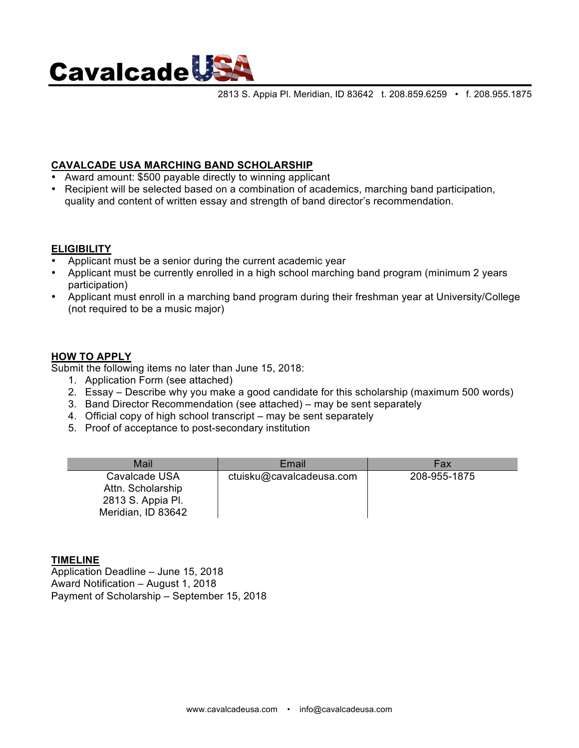

2813 S. Appia Pl. Meridian, ID 83642 t. 208.859.6259 • f. 208.955.1875

## **CAVALCADE USA MARCHING BAND SCHOLARSHIP**

- Award amount: \$500 payable directly to winning applicant
- Recipient will be selected based on a combination of academics, marching band participation, quality and content of written essay and strength of band director's recommendation.

### **ELIGIBILITY**

- Applicant must be a senior during the current academic year
- Applicant must be currently enrolled in a high school marching band program (minimum 2 years participation)
- Applicant must enroll in a marching band program during their freshman year at University/College (not required to be a music major)

#### **HOW TO APPLY**

Submit the following items no later than June 15, 2018:

- 1. Application Form (see attached)
- 2. Essay Describe why you make a good candidate for this scholarship (maximum 500 words)
- 3. Band Director Recommendation (see attached) may be sent separately
- 4. Official copy of high school transcript may be sent separately
- 5. Proof of acceptance to post-secondary institution

| Mail                                                                          | Email                    | Fax          |
|-------------------------------------------------------------------------------|--------------------------|--------------|
| Cavalcade USA<br>Attn. Scholarship<br>2813 S. Appia Pl.<br>Meridian, ID 83642 | ctuisku@cavalcadeusa.com | 208-955-1875 |

#### **TIMELINE**

Application Deadline – June 15, 2018 Award Notification – August 1, 2018 Payment of Scholarship – September 15, 2018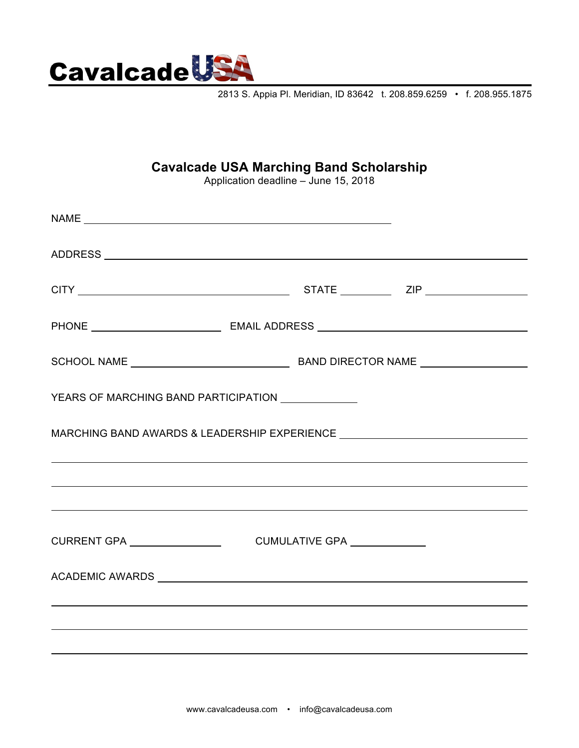

2813 S. Appia Pl. Meridian, ID 83642 t. 208.859.6259 • f. 208.955.1875

# **Cavalcade USA Marching Band Scholarship**

Application deadline – June 15, 2018

| YEARS OF MARCHING BAND PARTICIPATION <b>FOR ALL ASSESS</b> |                                                                                          |  |  |
|------------------------------------------------------------|------------------------------------------------------------------------------------------|--|--|
|                                                            |                                                                                          |  |  |
|                                                            | <u> 2000 - Jan Landers de Barbara, españolar españolar españolar española (h. 1918).</u> |  |  |
|                                                            | <u> 2000 - Jan Landers de Barbara, españolar españolar españolar española (h. 1918).</u> |  |  |
|                                                            |                                                                                          |  |  |
|                                                            |                                                                                          |  |  |
|                                                            |                                                                                          |  |  |
|                                                            |                                                                                          |  |  |
|                                                            |                                                                                          |  |  |